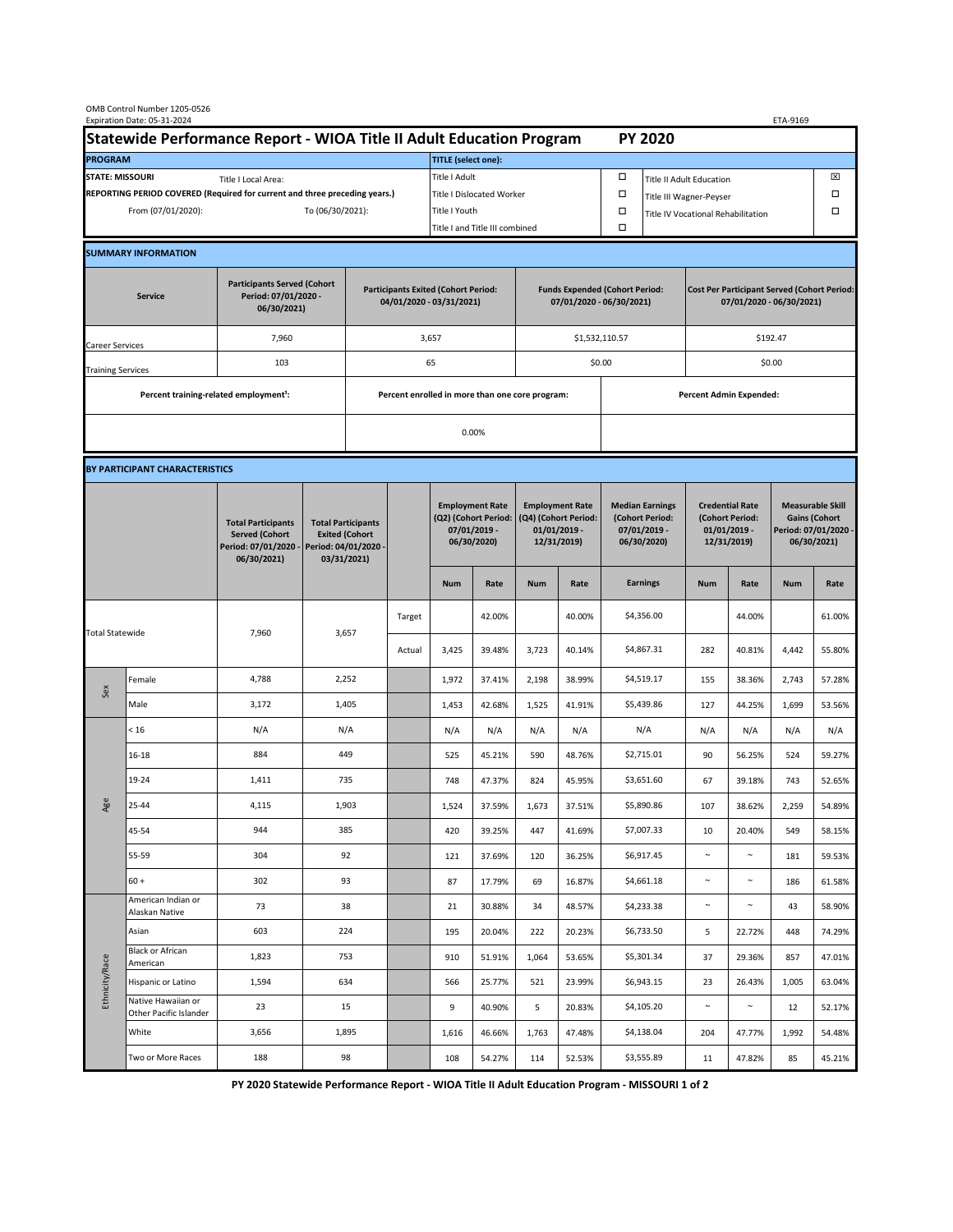| OMB Control Number 1205-0526<br>Expiration Date: 05-31-2024<br>ETA-9169                     |                                                    |                                                                                           |                                                                                           |                                                                        |                           |                                                                               |                  |                                                                                 |                  |                                                                            |                                |                                                                                |                  |                                                                                        |                  |  |
|---------------------------------------------------------------------------------------------|----------------------------------------------------|-------------------------------------------------------------------------------------------|-------------------------------------------------------------------------------------------|------------------------------------------------------------------------|---------------------------|-------------------------------------------------------------------------------|------------------|---------------------------------------------------------------------------------|------------------|----------------------------------------------------------------------------|--------------------------------|--------------------------------------------------------------------------------|------------------|----------------------------------------------------------------------------------------|------------------|--|
| Statewide Performance Report - WIOA Title II Adult Education Program                        |                                                    |                                                                                           |                                                                                           |                                                                        |                           |                                                                               |                  |                                                                                 |                  |                                                                            | <b>PY 2020</b>                 |                                                                                |                  |                                                                                        |                  |  |
| <b>PROGRAM</b>                                                                              |                                                    |                                                                                           |                                                                                           |                                                                        |                           | <b>TITLE</b> (select one):                                                    |                  |                                                                                 |                  |                                                                            |                                |                                                                                |                  |                                                                                        |                  |  |
| <b>STATE: MISSOURI</b><br>Title I Local Area:                                               |                                                    |                                                                                           |                                                                                           |                                                                        |                           | Title I Adult                                                                 |                  |                                                                                 |                  | □<br><b>Title II Adult Education</b>                                       |                                |                                                                                |                  |                                                                                        | ⊠                |  |
| REPORTING PERIOD COVERED (Required for current and three preceding years.)                  |                                                    |                                                                                           |                                                                                           |                                                                        | Title I Dislocated Worker |                                                                               |                  |                                                                                 |                  | Ω                                                                          | Title III Wagner-Peyser        |                                                                                |                  |                                                                                        |                  |  |
| From (07/01/2020):                                                                          |                                                    |                                                                                           | To (06/30/2021):                                                                          |                                                                        |                           | Title I Youth                                                                 |                  |                                                                                 | $\Box$           | Title IV Vocational Rehabilitation                                         |                                |                                                                                |                  | □                                                                                      |                  |  |
|                                                                                             |                                                    |                                                                                           |                                                                                           |                                                                        |                           | Title I and Title III combined                                                |                  |                                                                                 |                  | Ω                                                                          |                                |                                                                                |                  |                                                                                        |                  |  |
|                                                                                             | <b>SUMMARY INFORMATION</b>                         |                                                                                           |                                                                                           |                                                                        |                           |                                                                               |                  |                                                                                 |                  |                                                                            |                                |                                                                                |                  |                                                                                        |                  |  |
| <b>Participants Served (Cohort</b><br>Period: 07/01/2020 -<br><b>Service</b><br>06/30/2021) |                                                    |                                                                                           |                                                                                           | <b>Participants Exited (Cohort Period:</b><br>04/01/2020 - 03/31/2021) |                           |                                                                               |                  | <b>Funds Expended (Cohort Period:</b><br>07/01/2020 - 06/30/2021)               |                  |                                                                            |                                | <b>Cost Per Participant Served (Cohort Period:</b><br>07/01/2020 - 06/30/2021) |                  |                                                                                        |                  |  |
| Career Services                                                                             |                                                    | 7,960                                                                                     |                                                                                           |                                                                        |                           | 3,657                                                                         |                  |                                                                                 |                  | \$1,532,110.57                                                             |                                | \$192.47                                                                       |                  |                                                                                        |                  |  |
| <b>Training Services</b>                                                                    |                                                    | 103                                                                                       |                                                                                           | 65                                                                     |                           |                                                                               |                  |                                                                                 |                  | \$0.00                                                                     |                                | \$0.00                                                                         |                  |                                                                                        |                  |  |
|                                                                                             | Percent training-related employment <sup>1</sup> : |                                                                                           | Percent enrolled in more than one core program:                                           |                                                                        |                           |                                                                               |                  |                                                                                 |                  |                                                                            | <b>Percent Admin Expended:</b> |                                                                                |                  |                                                                                        |                  |  |
|                                                                                             |                                                    |                                                                                           |                                                                                           |                                                                        | 0.00%                     |                                                                               |                  |                                                                                 |                  |                                                                            |                                |                                                                                |                  |                                                                                        |                  |  |
|                                                                                             |                                                    |                                                                                           |                                                                                           |                                                                        |                           |                                                                               |                  |                                                                                 |                  |                                                                            |                                |                                                                                |                  |                                                                                        |                  |  |
|                                                                                             | BY PARTICIPANT CHARACTERISTICS                     |                                                                                           |                                                                                           |                                                                        |                           |                                                                               |                  |                                                                                 |                  |                                                                            |                                |                                                                                |                  |                                                                                        |                  |  |
|                                                                                             |                                                    | <b>Total Participants</b><br><b>Served (Cohort</b><br>Period: 07/01/2020 -<br>06/30/2021) | <b>Total Participants</b><br><b>Exited (Cohort</b><br>Period: 04/01/2020 -<br>03/31/2021) |                                                                        |                           | <b>Employment Rate</b><br>(Q2) (Cohort Period:<br>07/01/2019 -<br>06/30/2020) |                  | <b>Employment Rate</b><br>(Q4) (Cohort Period:<br>$01/01/2019$ -<br>12/31/2019) |                  | <b>Median Earnings</b><br>(Cohort Period:<br>$07/01/2019 -$<br>06/30/2020) |                                | <b>Credential Rate</b><br>(Cohort Period:<br>$01/01/2019$ -<br>12/31/2019)     |                  | <b>Measurable Skill</b><br><b>Gains (Cohort</b><br>Period: 07/01/2020 -<br>06/30/2021) |                  |  |
|                                                                                             |                                                    |                                                                                           |                                                                                           |                                                                        |                           | <b>Num</b>                                                                    | Rate             | <b>Num</b>                                                                      | Rate             |                                                                            | <b>Earnings</b>                | <b>Num</b>                                                                     | Rate             | <b>Num</b>                                                                             | Rate             |  |
| <b>Total Statewide</b>                                                                      |                                                    | 7,960                                                                                     | 3,657                                                                                     |                                                                        | Target                    |                                                                               | 42.00%           |                                                                                 | 40.00%           |                                                                            | \$4,356.00                     |                                                                                | 44.00%           |                                                                                        | 61.00%           |  |
|                                                                                             |                                                    |                                                                                           |                                                                                           |                                                                        | Actual                    | 3,425                                                                         | 39.48%           | 3,723                                                                           | 40.14%           |                                                                            | \$4,867.31                     | 282                                                                            | 40.81%           | 4,442                                                                                  | 55.80%           |  |
| Sex                                                                                         | Female                                             | 4,788                                                                                     | 2,252                                                                                     |                                                                        |                           | 1,972                                                                         | 37.41%           | 2,198                                                                           | 38.99%           |                                                                            | \$4,519.17                     | 155                                                                            | 38.36%           | 2,743                                                                                  | 57.28%           |  |
|                                                                                             | Male                                               | 3,172                                                                                     | 1,405                                                                                     |                                                                        |                           | 1,453                                                                         | 42.68%           | 1,525                                                                           | 41.91%           |                                                                            | \$5,439.86                     | 127                                                                            | 44.25%           | 1,699                                                                                  | 53.56%           |  |
| Age                                                                                         | < 16                                               | N/A                                                                                       | N/A                                                                                       |                                                                        |                           | N/A                                                                           | N/A              | N/A                                                                             | N/A              |                                                                            | N/A                            | N/A                                                                            | N/A              | N/A                                                                                    | N/A              |  |
|                                                                                             | $16 - 18$                                          | 884                                                                                       | 449                                                                                       |                                                                        |                           | 525                                                                           | 45.21%           | 590                                                                             | 48.76%           |                                                                            | \$2,715.01                     | 90                                                                             | 56.25%           | 524                                                                                    | 59.27%           |  |
|                                                                                             | 19-24                                              | 1,411                                                                                     | 735                                                                                       |                                                                        |                           | 748                                                                           | 47.37%           | 824                                                                             | 45.95%           |                                                                            | \$3,651.60                     | 67                                                                             | 39.18%           | 743                                                                                    | 52.65%           |  |
|                                                                                             | 25-44                                              | 4,115                                                                                     | 1,903                                                                                     |                                                                        |                           | 1,524                                                                         | 37.59%           | 1,673                                                                           | 37.51%           |                                                                            | \$5,890.86                     | 107                                                                            | 38.62%           | 2,259                                                                                  | 54.89%           |  |
|                                                                                             | 45-54                                              | 944                                                                                       | 385                                                                                       |                                                                        |                           | 420                                                                           | 39.25%           | 447                                                                             | 41.69%           |                                                                            | \$7,007.33                     | 10                                                                             | 20.40%           | 549                                                                                    | 58.15%           |  |
|                                                                                             | 55-59                                              | 304                                                                                       | 92                                                                                        |                                                                        |                           | 121                                                                           | 37.69%           | 120                                                                             | 36.25%           |                                                                            | \$6,917.45                     | $\sim$                                                                         | $\sim$           | 181                                                                                    | 59.53%           |  |
|                                                                                             | $60 +$<br>American Indian or                       | 302                                                                                       | 93                                                                                        |                                                                        |                           | 87                                                                            | 17.79%           | 69                                                                              | 16.87%           |                                                                            | \$4,661.18                     | $\sim$                                                                         | $\sim$           | 186                                                                                    | 61.58%           |  |
| Ethnicity/Race                                                                              | Alaskan Native                                     | 73                                                                                        | 38                                                                                        |                                                                        |                           | 21                                                                            | 30.88%           | 34                                                                              | 48.57%           |                                                                            | \$4,233.38                     | $\sim$                                                                         | $\sim$           | 43                                                                                     | 58.90%           |  |
|                                                                                             | Asian<br>Black or African                          | 603                                                                                       | 224                                                                                       |                                                                        |                           | 195                                                                           | 20.04%           | 222                                                                             | 20.23%           |                                                                            | \$6,733.50                     | 5                                                                              | 22.72%           | 448                                                                                    | 74.29%           |  |
|                                                                                             | American                                           | 1,823                                                                                     | 753                                                                                       |                                                                        |                           | 910                                                                           | 51.91%           | 1,064                                                                           | 53.65%           |                                                                            | \$5,301.34                     | 37                                                                             | 29.36%           | 857                                                                                    | 47.01%           |  |
|                                                                                             | Hispanic or Latino<br>Native Hawaiian or           | 1,594<br>23                                                                               | 634<br>15                                                                                 |                                                                        |                           | 566<br>9                                                                      | 25.77%<br>40.90% | 521<br>5                                                                        | 23.99%<br>20.83% |                                                                            | \$6,943.15<br>\$4,105.20       | 23<br>$\sim$                                                                   | 26.43%<br>$\sim$ | 1,005<br>12                                                                            | 63.04%<br>52.17% |  |
|                                                                                             | Other Pacific Islander<br>White                    | 3,656                                                                                     | 1,895                                                                                     |                                                                        |                           | 1,616                                                                         | 46.66%           | 1,763                                                                           | 47.48%           |                                                                            | \$4,138.04                     | 204                                                                            | 47.77%           | 1,992                                                                                  | 54.48%           |  |
|                                                                                             | Two or More Races                                  | 188                                                                                       | 98                                                                                        |                                                                        |                           | 108                                                                           | 54.27%           | 114                                                                             | 52.53%           |                                                                            | \$3,555.89                     | 11                                                                             | 47.82%           | 85                                                                                     | 45.21%           |  |
|                                                                                             |                                                    |                                                                                           |                                                                                           |                                                                        |                           |                                                                               |                  |                                                                                 |                  |                                                                            |                                |                                                                                |                  |                                                                                        |                  |  |

**PY 2020 Statewide Performance Report - WIOA Title II Adult Education Program - MISSOURI 1 of 2**